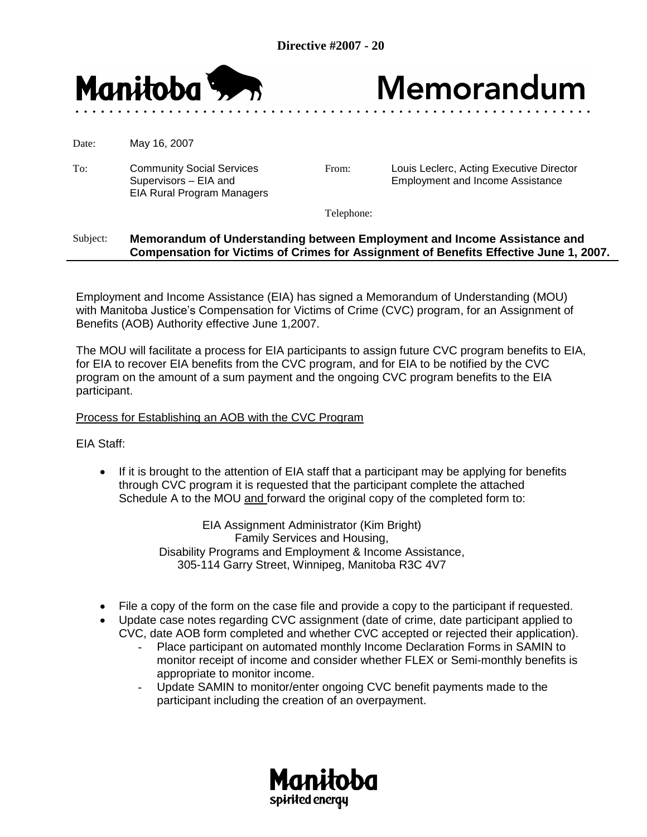

## Memorandum

Date: May 16, 2007

To: Community Social Services Supervisors – EIA and EIA Rural Program Managers

From: Louis Leclerc, Acting Executive Director Employment and Income Assistance

Telephone:

## Subject: **Memorandum of Understanding between Employment and Income Assistance and Compensation for Victims of Crimes for Assignment of Benefits Effective June 1, 2007.**

Employment and Income Assistance (EIA) has signed a Memorandum of Understanding (MOU) with Manitoba Justice's Compensation for Victims of Crime (CVC) program, for an Assignment of Benefits (AOB) Authority effective June 1,2007.

The MOU will facilitate a process for EIA participants to assign future CVC program benefits to EIA, for EIA to recover EIA benefits from the CVC program, and for EIA to be notified by the CVC program on the amount of a sum payment and the ongoing CVC program benefits to the EIA participant.

## Process for Establishing an AOB with the CVC Program

EIA Staff:

 If it is brought to the attention of EIA staff that a participant may be applying for benefits through CVC program it is requested that the participant complete the attached Schedule A to the MOU and forward the original copy of the completed form to:

> EIA Assignment Administrator (Kim Bright) Family Services and Housing, Disability Programs and Employment & Income Assistance, 305-114 Garry Street, Winnipeg, Manitoba R3C 4V7

- File a copy of the form on the case file and provide a copy to the participant if requested.
- Update case notes regarding CVC assignment (date of crime, date participant applied to CVC, date AOB form completed and whether CVC accepted or rejected their application).
	- Place participant on automated monthly Income Declaration Forms in SAMIN to monitor receipt of income and consider whether FLEX or Semi-monthly benefits is appropriate to monitor income.
	- Update SAMIN to monitor/enter ongoing CVC benefit payments made to the participant including the creation of an overpayment.